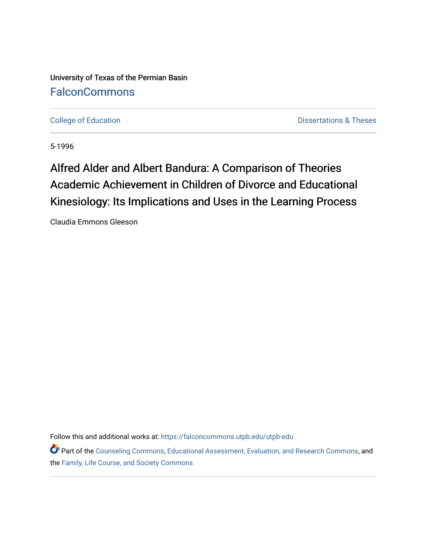University of Texas of the Permian Basin **[FalconCommons](https://falconcommons.utpb.edu/)** 

[College of Education](https://falconcommons.utpb.edu/utpb-edu) **Dissertations & Theses** 

5-1996

# Alfred Alder and Albert Bandura: A Comparison of Theories Academic Achievement in Children of Divorce and Educational Kinesiology: Its Implications and Uses in the Learning Process

Claudia Emmons Gleeson

Follow this and additional works at: [https://falconcommons.utpb.edu/utpb-edu](https://falconcommons.utpb.edu/utpb-edu?utm_source=falconcommons.utpb.edu%2Futpb-edu%2F33&utm_medium=PDF&utm_campaign=PDFCoverPages) 

Part of the [Counseling Commons,](http://network.bepress.com/hgg/discipline/1268?utm_source=falconcommons.utpb.edu%2Futpb-edu%2F33&utm_medium=PDF&utm_campaign=PDFCoverPages) [Educational Assessment, Evaluation, and Research Commons,](http://network.bepress.com/hgg/discipline/796?utm_source=falconcommons.utpb.edu%2Futpb-edu%2F33&utm_medium=PDF&utm_campaign=PDFCoverPages) and the [Family, Life Course, and Society Commons](http://network.bepress.com/hgg/discipline/419?utm_source=falconcommons.utpb.edu%2Futpb-edu%2F33&utm_medium=PDF&utm_campaign=PDFCoverPages)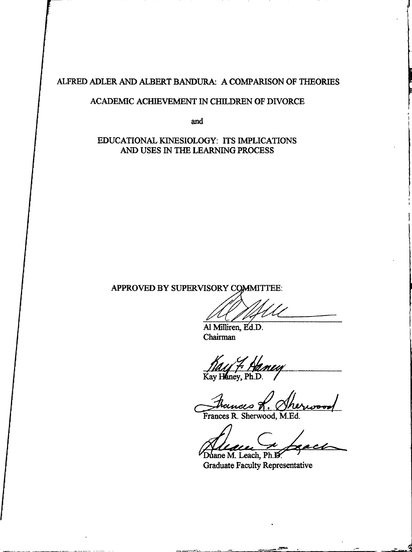ALFRED ADLER *AMD* ALBERT BANDURA; A COMPARISON OF THEORIES

### ACADEMIC ACHIEVEMENT IN CHILDREN OF DIVORCE

and

## EDUCATIONAL KINESIOLOGY: ITS IMPLICATIONS AND USES IN THE LEARNING PROCESS

APPROVED BY SUPERVISORY COMMITTEE:

A1 Milliren, Ed.D. Chairman

Kay Haney, Ph.D.

trances th

Frances R. Sherwood, M.Ed.

Duane M. Leach, Ph.D.

Graduate Faculty Representative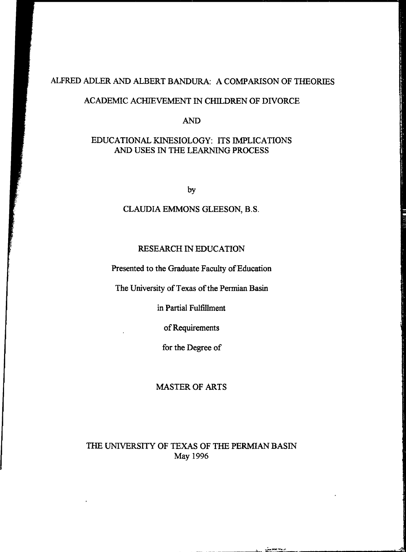# ALFRED ADLER AND ALBERT BANDURA; A COMPARISON OF THEORIES

## ACADEMIC ACHIEVEMENT IN CHILDREN OF DIVORCE

AND

## EDUCATIONAL KINESIOLOGY: ITS IMPLICATIONS AND USES IN THE LEARNING PROCESS

by

## CLAUDIA EMMONS GLEESON, B.S.

#### RESEARCH IN EDUCATION

Presented to the Graduate Faculty of Education

The University of Texas of the Permian Basin

in Partial Fulfillment

ofRequirements

for the Degree of

## MASTER OF ARTS

# THE UNIVERSITY OF TEXAS OF THE PERMIAN BASIN May 1996

**LEASER**